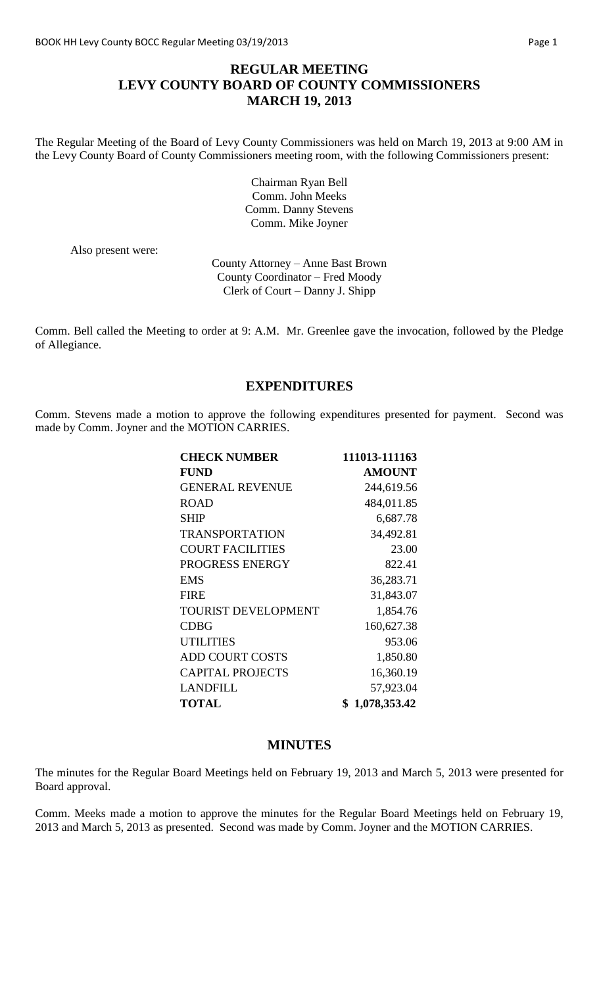### **REGULAR MEETING LEVY COUNTY BOARD OF COUNTY COMMISSIONERS MARCH 19, 2013**

The Regular Meeting of the Board of Levy County Commissioners was held on March 19, 2013 at 9:00 AM in the Levy County Board of County Commissioners meeting room, with the following Commissioners present:

> Chairman Ryan Bell Comm. John Meeks Comm. Danny Stevens Comm. Mike Joyner

Also present were:

County Attorney – Anne Bast Brown County Coordinator – Fred Moody Clerk of Court – Danny J. Shipp

Comm. Bell called the Meeting to order at 9: A.M. Mr. Greenlee gave the invocation, followed by the Pledge of Allegiance.

#### **EXPENDITURES**

Comm. Stevens made a motion to approve the following expenditures presented for payment. Second was made by Comm. Joyner and the MOTION CARRIES.

| <b>CHECK NUMBER</b>        | 111013-111163 |
|----------------------------|---------------|
| <b>FUND</b>                | <b>AMOUNT</b> |
| <b>GENERAL REVENUE</b>     | 244,619.56    |
| <b>ROAD</b>                | 484,011.85    |
| <b>SHIP</b>                | 6,687.78      |
| <b>TRANSPORTATION</b>      | 34,492.81     |
| <b>COURT FACILITIES</b>    | 23.00         |
| PROGRESS ENERGY            | 822.41        |
| <b>EMS</b>                 | 36,283.71     |
| <b>FIRE</b>                | 31,843.07     |
| <b>TOURIST DEVELOPMENT</b> | 1,854.76      |
| <b>CDBG</b>                | 160,627.38    |
| <b>UTILITIES</b>           | 953.06        |
| <b>ADD COURT COSTS</b>     | 1,850.80      |
| <b>CAPITAL PROJECTS</b>    | 16,360.19     |
| LANDFILL                   | 57,923.04     |
| <b>TOTAL</b>               | 1,078,353.42  |

#### **MINUTES**

The minutes for the Regular Board Meetings held on February 19, 2013 and March 5, 2013 were presented for Board approval.

Comm. Meeks made a motion to approve the minutes for the Regular Board Meetings held on February 19, 2013 and March 5, 2013 as presented. Second was made by Comm. Joyner and the MOTION CARRIES.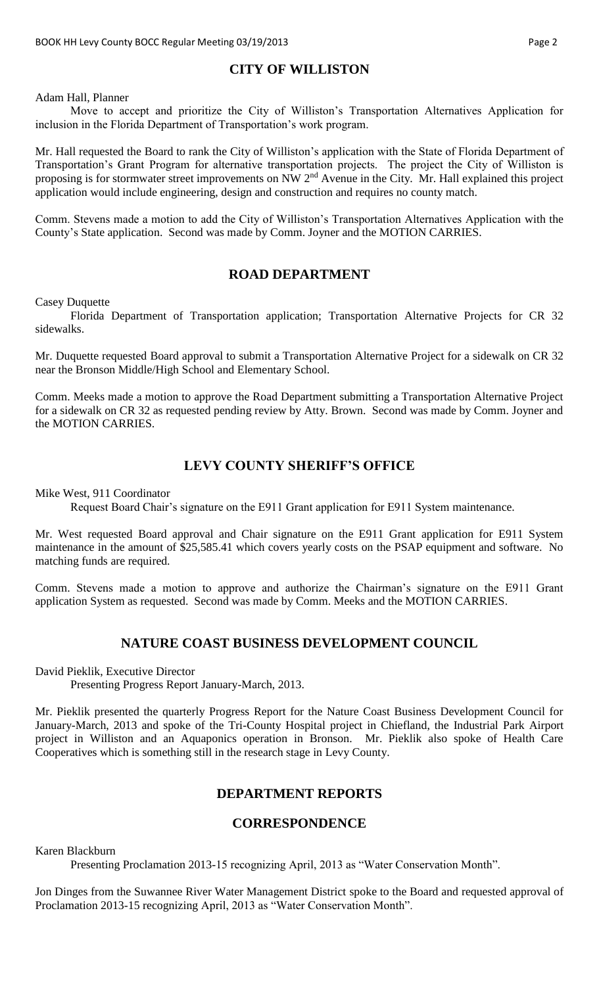# **CITY OF WILLISTON**

Adam Hall, Planner

Move to accept and prioritize the City of Williston's Transportation Alternatives Application for inclusion in the Florida Department of Transportation's work program.

Mr. Hall requested the Board to rank the City of Williston's application with the State of Florida Department of Transportation's Grant Program for alternative transportation projects. The project the City of Williston is proposing is for stormwater street improvements on NW 2<sup>nd</sup> Avenue in the City. Mr. Hall explained this project application would include engineering, design and construction and requires no county match.

Comm. Stevens made a motion to add the City of Williston's Transportation Alternatives Application with the County's State application. Second was made by Comm. Joyner and the MOTION CARRIES.

#### **ROAD DEPARTMENT**

Casey Duquette

Florida Department of Transportation application; Transportation Alternative Projects for CR 32 sidewalks.

Mr. Duquette requested Board approval to submit a Transportation Alternative Project for a sidewalk on CR 32 near the Bronson Middle/High School and Elementary School.

Comm. Meeks made a motion to approve the Road Department submitting a Transportation Alternative Project for a sidewalk on CR 32 as requested pending review by Atty. Brown. Second was made by Comm. Joyner and the MOTION CARRIES.

### **LEVY COUNTY SHERIFF'S OFFICE**

Mike West, 911 Coordinator

Request Board Chair's signature on the E911 Grant application for E911 System maintenance.

Mr. West requested Board approval and Chair signature on the E911 Grant application for E911 System maintenance in the amount of \$25,585.41 which covers yearly costs on the PSAP equipment and software. No matching funds are required.

Comm. Stevens made a motion to approve and authorize the Chairman's signature on the E911 Grant application System as requested. Second was made by Comm. Meeks and the MOTION CARRIES.

# **NATURE COAST BUSINESS DEVELOPMENT COUNCIL**

David Pieklik, Executive Director

Presenting Progress Report January-March, 2013.

Mr. Pieklik presented the quarterly Progress Report for the Nature Coast Business Development Council for January-March, 2013 and spoke of the Tri-County Hospital project in Chiefland, the Industrial Park Airport project in Williston and an Aquaponics operation in Bronson. Mr. Pieklik also spoke of Health Care Cooperatives which is something still in the research stage in Levy County.

#### **DEPARTMENT REPORTS**

# **CORRESPONDENCE**

Karen Blackburn

Presenting Proclamation 2013-15 recognizing April, 2013 as "Water Conservation Month".

Jon Dinges from the Suwannee River Water Management District spoke to the Board and requested approval of Proclamation 2013-15 recognizing April, 2013 as "Water Conservation Month".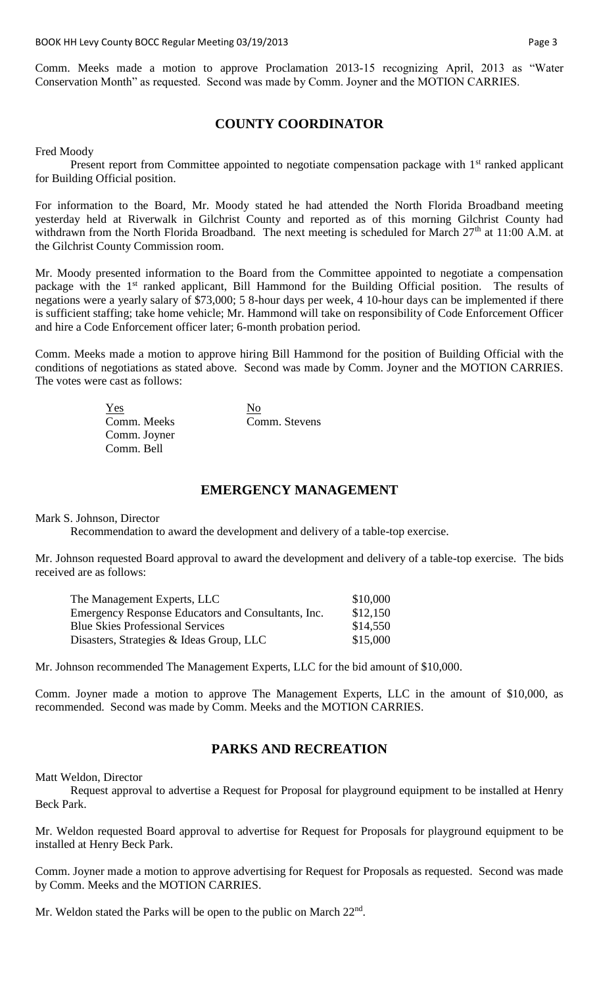Comm. Meeks made a motion to approve Proclamation 2013-15 recognizing April, 2013 as "Water Conservation Month" as requested. Second was made by Comm. Joyner and the MOTION CARRIES.

# **COUNTY COORDINATOR**

Fred Moody

Present report from Committee appointed to negotiate compensation package with  $1<sup>st</sup>$  ranked applicant for Building Official position.

For information to the Board, Mr. Moody stated he had attended the North Florida Broadband meeting yesterday held at Riverwalk in Gilchrist County and reported as of this morning Gilchrist County had withdrawn from the North Florida Broadband. The next meeting is scheduled for March 27<sup>th</sup> at 11:00 A.M. at the Gilchrist County Commission room.

Mr. Moody presented information to the Board from the Committee appointed to negotiate a compensation package with the 1<sup>st</sup> ranked applicant, Bill Hammond for the Building Official position. The results of negations were a yearly salary of \$73,000; 5 8-hour days per week, 4 10-hour days can be implemented if there is sufficient staffing; take home vehicle; Mr. Hammond will take on responsibility of Code Enforcement Officer and hire a Code Enforcement officer later; 6-month probation period.

Comm. Meeks made a motion to approve hiring Bill Hammond for the position of Building Official with the conditions of negotiations as stated above. Second was made by Comm. Joyner and the MOTION CARRIES. The votes were cast as follows:

| Yes          | N <sub>0</sub> |
|--------------|----------------|
| Comm. Meeks  | Comm. Stevens  |
| Comm. Joyner |                |
| Comm. Bell   |                |

### **EMERGENCY MANAGEMENT**

Mark S. Johnson, Director

Recommendation to award the development and delivery of a table-top exercise.

Mr. Johnson requested Board approval to award the development and delivery of a table-top exercise. The bids received are as follows:

| The Management Experts, LLC                        | \$10,000 |
|----------------------------------------------------|----------|
| Emergency Response Educators and Consultants, Inc. | \$12,150 |
| <b>Blue Skies Professional Services</b>            | \$14,550 |
| Disasters, Strategies & Ideas Group, LLC           | \$15,000 |

Mr. Johnson recommended The Management Experts, LLC for the bid amount of \$10,000.

Comm. Joyner made a motion to approve The Management Experts, LLC in the amount of \$10,000, as recommended. Second was made by Comm. Meeks and the MOTION CARRIES.

#### **PARKS AND RECREATION**

Matt Weldon, Director

Request approval to advertise a Request for Proposal for playground equipment to be installed at Henry Beck Park.

Mr. Weldon requested Board approval to advertise for Request for Proposals for playground equipment to be installed at Henry Beck Park.

Comm. Joyner made a motion to approve advertising for Request for Proposals as requested. Second was made by Comm. Meeks and the MOTION CARRIES.

Mr. Weldon stated the Parks will be open to the public on March 22<sup>nd</sup>.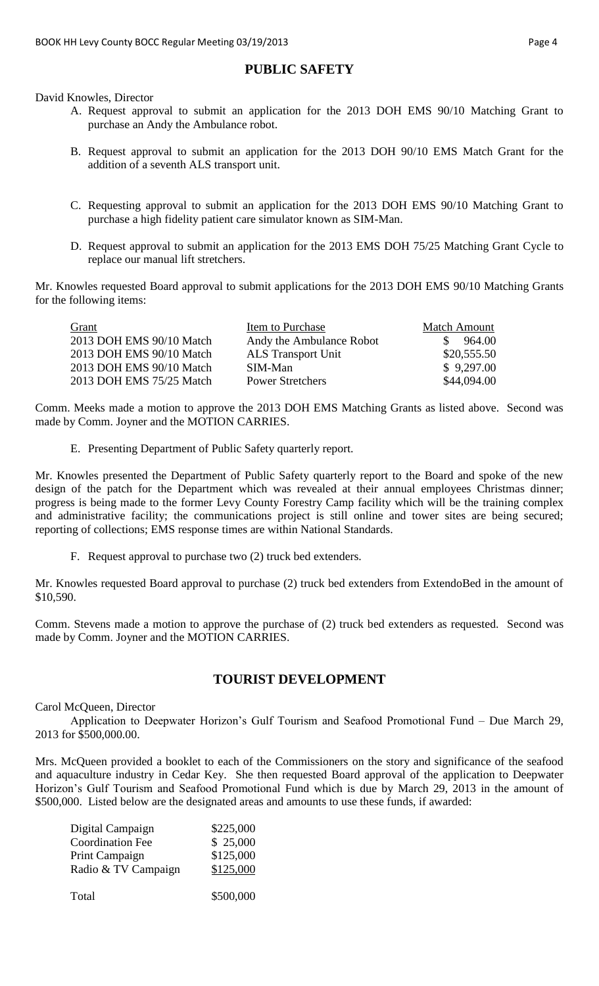# **PUBLIC SAFETY**

David Knowles, Director

- A. Request approval to submit an application for the 2013 DOH EMS 90/10 Matching Grant to purchase an Andy the Ambulance robot.
- B. Request approval to submit an application for the 2013 DOH 90/10 EMS Match Grant for the addition of a seventh ALS transport unit.
- C. Requesting approval to submit an application for the 2013 DOH EMS 90/10 Matching Grant to purchase a high fidelity patient care simulator known as SIM-Man.
- D. Request approval to submit an application for the 2013 EMS DOH 75/25 Matching Grant Cycle to replace our manual lift stretchers.

Mr. Knowles requested Board approval to submit applications for the 2013 DOH EMS 90/10 Matching Grants for the following items:

| Item to Purchase          | <b>Match Amount</b> |
|---------------------------|---------------------|
| Andy the Ambulance Robot  | 964.00              |
| <b>ALS</b> Transport Unit | \$20,555.50         |
| SIM-Man                   | \$9,297.00          |
| <b>Power Stretchers</b>   | \$44,094.00         |
|                           |                     |

Comm. Meeks made a motion to approve the 2013 DOH EMS Matching Grants as listed above. Second was made by Comm. Joyner and the MOTION CARRIES.

E. Presenting Department of Public Safety quarterly report.

Mr. Knowles presented the Department of Public Safety quarterly report to the Board and spoke of the new design of the patch for the Department which was revealed at their annual employees Christmas dinner; progress is being made to the former Levy County Forestry Camp facility which will be the training complex and administrative facility; the communications project is still online and tower sites are being secured; reporting of collections; EMS response times are within National Standards.

F. Request approval to purchase two (2) truck bed extenders.

Mr. Knowles requested Board approval to purchase (2) truck bed extenders from ExtendoBed in the amount of \$10,590.

Comm. Stevens made a motion to approve the purchase of (2) truck bed extenders as requested. Second was made by Comm. Joyner and the MOTION CARRIES.

# **TOURIST DEVELOPMENT**

Carol McQueen, Director

Application to Deepwater Horizon's Gulf Tourism and Seafood Promotional Fund – Due March 29, 2013 for \$500,000.00.

Mrs. McQueen provided a booklet to each of the Commissioners on the story and significance of the seafood and aquaculture industry in Cedar Key. She then requested Board approval of the application to Deepwater Horizon's Gulf Tourism and Seafood Promotional Fund which is due by March 29, 2013 in the amount of \$500,000. Listed below are the designated areas and amounts to use these funds, if awarded:

| Digital Campaign<br><b>Coordination Fee</b> | \$225,000<br>\$25,000 |
|---------------------------------------------|-----------------------|
| Print Campaign                              | \$125,000             |
| Radio & TV Campaign                         | \$125,000             |
| Total                                       | \$500,000             |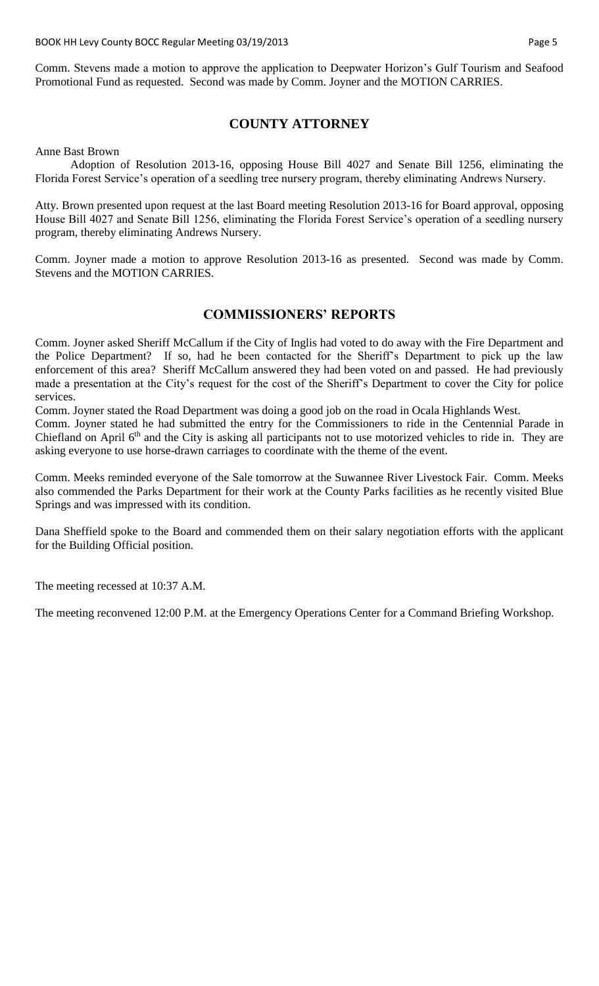Comm. Stevens made a motion to approve the application to Deepwater Horizon's Gulf Tourism and Seafood Promotional Fund as requested. Second was made by Comm. Joyner and the MOTION CARRIES.

# **COUNTY ATTORNEY**

Anne Bast Brown

Adoption of Resolution 2013-16, opposing House Bill 4027 and Senate Bill 1256, eliminating the Florida Forest Service's operation of a seedling tree nursery program, thereby eliminating Andrews Nursery.

Atty. Brown presented upon request at the last Board meeting Resolution 2013-16 for Board approval, opposing House Bill 4027 and Senate Bill 1256, eliminating the Florida Forest Service's operation of a seedling nursery program, thereby eliminating Andrews Nursery.

Comm. Joyner made a motion to approve Resolution 2013-16 as presented. Second was made by Comm. Stevens and the MOTION CARRIES.

### **COMMISSIONERS' REPORTS**

Comm. Joyner asked Sheriff McCallum if the City of Inglis had voted to do away with the Fire Department and the Police Department? If so, had he been contacted for the Sheriff's Department to pick up the law enforcement of this area? Sheriff McCallum answered they had been voted on and passed. He had previously made a presentation at the City's request for the cost of the Sheriff's Department to cover the City for police services.

Comm. Joyner stated the Road Department was doing a good job on the road in Ocala Highlands West.

Comm. Joyner stated he had submitted the entry for the Commissioners to ride in the Centennial Parade in Chiefland on April 6<sup>th</sup> and the City is asking all participants not to use motorized vehicles to ride in. They are asking everyone to use horse-drawn carriages to coordinate with the theme of the event.

Comm. Meeks reminded everyone of the Sale tomorrow at the Suwannee River Livestock Fair. Comm. Meeks also commended the Parks Department for their work at the County Parks facilities as he recently visited Blue Springs and was impressed with its condition.

Dana Sheffield spoke to the Board and commended them on their salary negotiation efforts with the applicant for the Building Official position.

The meeting recessed at 10:37 A.M.

The meeting reconvened 12:00 P.M. at the Emergency Operations Center for a Command Briefing Workshop.